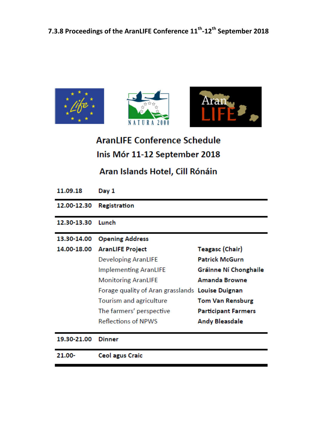





**AranLIFE Conference Schedule** Inis Mór 11-12 September 2018

# Aran Islands Hotel, Cill Rónáin

| 11.09.18    | Day 1                                            |                            |
|-------------|--------------------------------------------------|----------------------------|
| 12.00-12.30 | <b>Registration</b>                              |                            |
| 12.30-13.30 | Lunch                                            |                            |
| 13.30-14.00 | <b>Opening Address</b>                           |                            |
| 14.00-18.00 | <b>AranLIFE Project</b>                          | Teagasc (Chair)            |
|             | <b>Developing AranLIFE</b>                       | <b>Patrick McGurn</b>      |
|             | <b>Implementing AranLIFE</b>                     | Gráinne Ní Chonghaile      |
|             | <b>Monitoring AranLIFE</b>                       | <b>Amanda Browne</b>       |
|             | Forage quality of Aran grasslands Louise Duignan |                            |
|             | Tourism and agriculture                          | <b>Tom Van Rensburg</b>    |
|             | The farmers' perspective                         | <b>Participant Farmers</b> |
|             | <b>Reflections of NPWS</b>                       | <b>Andy Bleasdale</b>      |
| 19.30-21.00 | <b>Dinner</b>                                    |                            |
| $21.00 -$   | <b>Ceol agus Craic</b>                           |                            |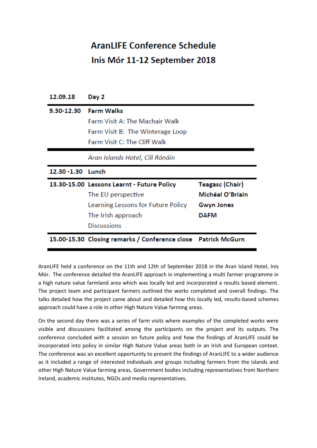# **AranLIFE Conference Schedule** Inis Mór 11-12 September 2018

| 12.09.18           | Day 2                                      |                        |
|--------------------|--------------------------------------------|------------------------|
| 9.30-12.30         | <b>Farm Walks</b>                          |                        |
|                    | <b>Farm Visit A: The Machair Walk</b>      |                        |
|                    | Farm Visit B: The Winterage Loop           |                        |
|                    | Farm Visit C: The Cliff Walk               |                        |
|                    | Aran Islands Hotel, Cill Rónáin            |                        |
|                    |                                            |                        |
| 12.30 - 1.30 Lunch |                                            |                        |
|                    | 13.30-15.00 Lessons Learnt - Future Policy | <b>Teagasc (Chair)</b> |
|                    | The EU perspective                         | Míchéal O'Briain       |
|                    | Learning Lessons for Future Policy         | <b>Gwyn Jones</b>      |
|                    | The Irish approach                         | <b>DAFM</b>            |
|                    | <b>Discussions</b>                         |                        |

AranLIFE held a conference on the 11th and 12th of September 2018 in the Aran Island Hotel, Inis Mór. The conference detailed the AranLIFE approach in implementing a multi farmer programme in a high nature value farmland area which was locally led and incorporated a results based element. The project team and participant farmers outlined the works completed and overall findings. The talks detailed how the project came about and detailed how this locally led, results-based schemes approach could have a role in other High Nature Value farming areas.

On the second day there was a series of farm visits where examples of the completed works were visible and discussions facilitated among the participants on the project and its outputs. The conference concluded with a session on future policy and how the findings of AranLIFE could be incorporated into policy in similar High Nature Value areas both in an Irish and European context. The conference was an excellent opportunity to present the findings of AranLIFE to a wider audience as it included a range of interested individuals and groups including farmers from the islands and other High Nature Value farming areas, Government bodies including representatives from Northern Ireland, academic institutes, NGOs and media representatives.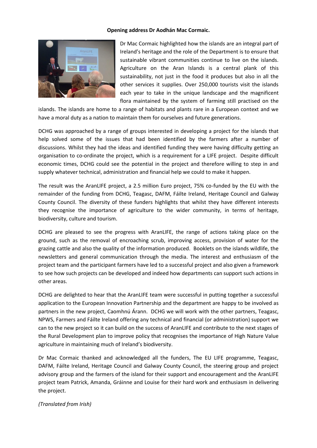#### **Opening address Dr Aodhán Mac Cormaic.**



Dr Mac Cormaic highlighted how the islands are an integral part of Ireland's heritage and the role of the Department is to ensure that sustainable vibrant communities continue to live on the islands. Agriculture on the Aran Islands is a central plank of this sustainability, not just in the food it produces but also in all the other services it supplies. Over 250,000 tourists visit the islands each year to take in the unique landscape and the magnificent flora maintained by the system of farming still practised on the

islands. The islands are home to a range of habitats and plants rare in a European context and we have a moral duty as a nation to maintain them for ourselves and future generations.

DCHG was approached by a range of groups interested in developing a project for the islands that help solved some of the issues that had been identified by the farmers after a number of discussions. Whilst they had the ideas and identified funding they were having difficulty getting an organisation to co-ordinate the project, which is a requirement for a LIFE project. Despite difficult economic times, DCHG could see the potential in the project and therefore willing to step in and supply whatever technical, administration and financial help we could to make it happen.

The result was the AranLIFE project, a 2.5 million Euro project, 75% co-funded by the EU with the remainder of the funding from DCHG, Teagasc, DAFM, Fáilte Ireland, Heritage Council and Galway County Council. The diversity of these funders highlights that whilst they have different interests they recognise the importance of agriculture to the wider community, in terms of heritage, biodiversity, culture and tourism.

DCHG are pleased to see the progress with AranLIFE, the range of actions taking place on the ground, such as the removal of encroaching scrub, improving access, provision of water for the grazing cattle and also the quality of the information produced. Booklets on the islands wildlife, the newsletters and general communication through the media. The interest and enthusiasm of the project team and the participant farmers have led to a successful project and also given a framework to see how such projects can be developed and indeed how departments can support such actions in other areas.

DCHG are delighted to hear that the AranLIFE team were successful in putting together a successful application to the European Innovation Partnership and the department are happy to be involved as partners in the new project, Caomhnú Árann. DCHG we will work with the other partners, Teagasc, NPWS, Farmers and Fáilte Ireland offering any technical and financial (or administration) support we can to the new project so it can build on the success of AranLIFE and contribute to the next stages of the Rural Development plan to improve policy that recognises the importance of High Nature Value agriculture in maintaining much of Ireland's biodiversity.

Dr Mac Cormaic thanked and acknowledged all the funders, The EU LIFE programme, Teagasc, DAFM, Fáilte Ireland, Heritage Council and Galway County Council, the steering group and project advisory group and the farmers of the island for their support and encouragement and the AranLIFE project team Patrick, Amanda, Gráinne and Louise for their hard work and enthusiasm in delivering the project.

#### *(Translated from Irish)*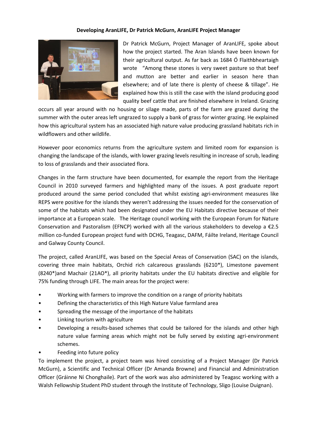#### **Developing AranLIFE, Dr Patrick McGurn, AranLIFE Project Manager**



Dr Patrick McGurn, Project Manager of AranLIFE, spoke about how the project started. The Aran Islands have been known for their agricultural output. As far back as 1684 Ó Flaithbheartaigh wrote "Among these stones is very sweet pasture so that beef and mutton are better and earlier in season here than elsewhere; and of late there is plenty of cheese & tillage". He explained how this is still the case with the island producing good quality beef cattle that are finished elsewhere in Ireland. Grazing

occurs all year around with no housing or silage made, parts of the farm are grazed during the summer with the outer areas left ungrazed to supply a bank of grass for winter grazing. He explained how this agricultural system has an associated high nature value producing grassland habitats rich in wildflowers and other wildlife.

However poor economics returns from the agriculture system and limited room for expansion is changing the landscape of the islands, with lower grazing levels resulting in increase of scrub, leading to loss of grasslands and their associated flora.

Changes in the farm structure have been documented, for example the report from the Heritage Council in 2010 surveyed farmers and highlighted many of the issues. A post graduate report produced around the same period concluded that whilst existing agri-environment measures like REPS were positive for the islands they weren't addressing the issues needed for the conservation of some of the habitats which had been designated under the EU Habitats directive because of their importance at a European scale. The Heritage council working with the European Forum for Nature Conservation and Pastoralism (EFNCP) worked with all the various stakeholders to develop a  $\epsilon$ 2.5 million co-funded European project fund with DCHG, Teagasc, DAFM, Fáilte Ireland, Heritage Council and Galway County Council.

The project, called AranLIFE, was based on the Special Areas of Conservation (SAC) on the islands, covering three main habitats, Orchid rich calcareous grasslands (6210\*), Limestone pavement (8240\*)and Machair (21AO\*), all priority habitats under the EU habitats directive and eligible for 75% funding through LIFE. The main areas for the project were:

- Working with farmers to improve the condition on a range of priority habitats
- Defining the characteristics of this High Nature Value farmland area
- Spreading the message of the importance of the habitats
- Linking tourism with agriculture
- Developing a results-based schemes that could be tailored for the islands and other high nature value farming areas which might not be fully served by existing agri-environment schemes.
- Feeding into future policy

To implement the project, a project team was hired consisting of a Project Manager (Dr Patrick McGurn), a Scientific and Technical Officer (Dr Amanda Browne) and Financial and Administration Officer (Gráinne Ní Chonghaile). Part of the work was also administered by Teagasc working with a Walsh Fellowship Student PhD student through the Institute of Technology, Sligo (Louise Duignan).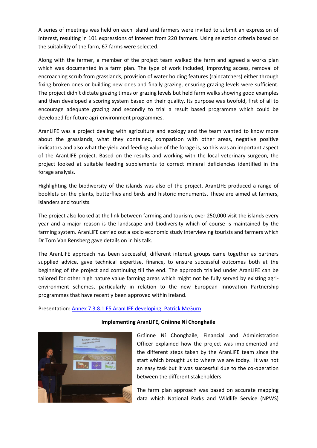A series of meetings was held on each island and farmers were invited to submit an expression of interest, resulting in 101 expressions of interest from 220 farmers. Using selection criteria based on the suitability of the farm, 67 farms were selected.

Along with the farmer, a member of the project team walked the farm and agreed a works plan which was documented in a farm plan. The type of work included, improving access, removal of encroaching scrub from grasslands, provision of water holding features (raincatchers) either through fixing broken ones or building new ones and finally grazing, ensuring grazing levels were sufficient. The project didn't dictate grazing times or grazing levels but held farm walks showing good examples and then developed a scoring system based on their quality. Its purpose was twofold, first of all to encourage adequate grazing and secondly to trial a result based programme which could be developed for future agri-environment programmes.

AranLIFE was a project dealing with agriculture and ecology and the team wanted to know more about the grasslands, what they contained, comparison with other areas, negative positive indicators and also what the yield and feeding value of the forage is, so this was an important aspect of the AranLIFE project. Based on the results and working with the local veterinary surgeon, the project looked at suitable feeding supplements to correct mineral deficiencies identified in the forage analysis.

Highlighting the biodiversity of the islands was also of the project. AranLIFE produced a range of booklets on the plants, butterflies and birds and historic monuments. These are aimed at farmers, islanders and tourists.

The project also looked at the link between farming and tourism, over 250,000 visit the islands every year and a major reason is the landscape and biodiversity which of course is maintained by the farming system. AranLIFE carried out a socio economic study interviewing tourists and farmers which Dr Tom Van Rensberg gave details on in his talk.

The AranLIFE approach has been successful, different interest groups came together as partners supplied advice, gave technical expertise, finance, to ensure successful outcomes both at the beginning of the project and continuing till the end. The approach trialled under AranLIFE can be tailored for other high nature value farming areas which might not be fully served by existing agrienvironment schemes, particularly in relation to the new European Innovation Partnership programmes that have recently been approved within Ireland.

Presentation: Annex 7.3.8.1 [E5 AranLIFE developing\\_Patrick McGurn](7.3.8.1%20E5%20AranLIFE%20developing_Patrick%20McGurn.pdf)



# **Implementing AranLIFE, Gráinne Ní Chonghaile**

Gráinne Ní Chonghaile, Financial and Administration Officer explained how the project was implemented and the different steps taken by the AranLIFE team since the start which brought us to where we are today. It was not an easy task but it was successful due to the co-operation between the different stakeholders.

The farm plan approach was based on accurate mapping data which National Parks and Wildlife Service (NPWS)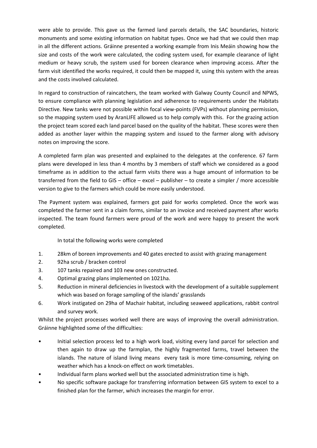were able to provide. This gave us the farmed land parcels details, the SAC boundaries, historic monuments and some existing information on habitat types. Once we had that we could then map in all the different actions. Gráinne presented a working example from Inis Meáin showing how the size and costs of the work were calculated, the coding system used, for example clearance of light medium or heavy scrub, the system used for boreen clearance when improving access. After the farm visit identified the works required, it could then be mapped it, using this system with the areas and the costs involved calculated.

In regard to construction of raincatchers, the team worked with Galway County Council and NPWS, to ensure compliance with planning legislation and adherence to requirements under the Habitats Directive. New tanks were not possible within focal view-points (FVPs) without planning permission, so the mapping system used by AranLIFE allowed us to help comply with this. For the grazing action the project team scored each land parcel based on the quality of the habitat. These scores were then added as another layer within the mapping system and issued to the farmer along with advisory notes on improving the score.

A completed farm plan was presented and explained to the delegates at the conference. 67 farm plans were developed in less than 4 months by 3 members of staff which we considered as a good timeframe as in addition to the actual farm visits there was a huge amount of information to be transferred from the field to GIS – office – excel – publisher – to create a simpler / more accessible version to give to the farmers which could be more easily understood.

The Payment system was explained, farmers got paid for works completed. Once the work was completed the farmer sent in a claim forms, similar to an invoice and received payment after works inspected. The team found farmers were proud of the work and were happy to present the work completed.

In total the following works were completed

- 1. 28km of boreen improvements and 40 gates erected to assist with grazing management
- 2. 92ha scrub / bracken control
- 3. 107 tanks repaired and 103 new ones constructed.
- 4. Optimal grazing plans implemented on 1021ha.
- 5. Reduction in mineral deficiencies in livestock with the development of a suitable supplement which was based on forage sampling of the islands' grasslands
- 6. Work instigated on 29ha of Machair habitat, including seaweed applications, rabbit control and survey work.

Whilst the project processes worked well there are ways of improving the overall administration. Gráinne highlighted some of the difficulties:

- Initial selection process led to a high work load, visiting every land parcel for selection and then again to draw up the farmplan, the highly fragmented farms, travel between the islands. The nature of island living means every task is more time-consuming, relying on weather which has a knock-on effect on work timetables.
- Individual farm plans worked well but the associated administration time is high.
- No specific software package for transferring information between GIS system to excel to a finished plan for the farmer, which increases the margin for error.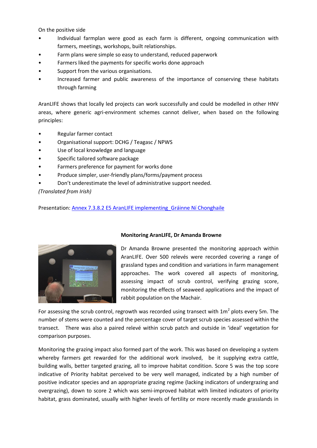On the positive side

- Individual farmplan were good as each farm is different, ongoing communication with farmers, meetings, workshops, built relationships.
- Farm plans were simple so easy to understand, reduced paperwork
- Farmers liked the payments for specific works done approach
- Support from the various organisations.
- Increased farmer and public awareness of the importance of conserving these habitats through farming

AranLIFE shows that locally led projects can work successfully and could be modelled in other HNV areas, where generic agri-environment schemes cannot deliver, when based on the following principles:

- Regular farmer contact
- Organisational support: DCHG / Teagasc / NPWS
- Use of local knowledge and language
- Specific tailored software package
- Farmers preference for payment for works done
- Produce simpler, user-friendly plans/forms/payment process
- Don't underestimate the level of administrative support needed.

*(Translated from Irish)*

Presentation: Annex 7.3.8.2 E5 AranLIFE implementing Gráinne Ní Chonghaile



# **Monitoring AranLIFE, Dr Amanda Browne**

Dr Amanda Browne presented the monitoring approach within AranLIFE. Over 500 relevés were recorded covering a range of grassland types and condition and variations in farm management approaches. The work covered all aspects of monitoring, assessing impact of scrub control, verifying grazing score, monitoring the effects of seaweed applications and the impact of rabbit population on the Machair.

For assessing the scrub control, regrowth was recorded using transect with  $1m^2$  plots every 5m. The number of stems were counted and the percentage cover of target scrub species assessed within the transect. There was also a paired relevé within scrub patch and outside in 'ideal' vegetation for comparison purposes.

Monitoring the grazing impact also formed part of the work. This was based on developing a system whereby farmers get rewarded for the additional work involved, be it supplying extra cattle, building walls, better targeted grazing, all to improve habitat condition. Score 5 was the top score indicative of Priority habitat perceived to be very well managed, indicated by a high number of positive indicator species and an appropriate grazing regime (lacking indicators of undergrazing and overgrazing), down to score 2 which was semi-improved habitat with limited indicators of priority habitat, grass dominated, usually with higher levels of fertility or more recently made grasslands in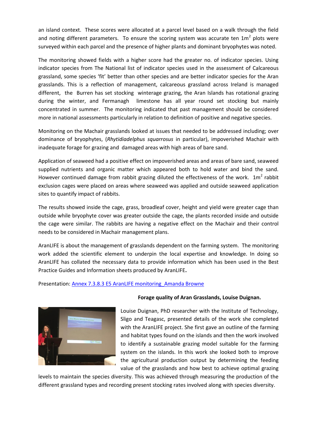an island context. These scores were allocated at a parcel level based on a walk through the field and noting different parameters. To ensure the scoring system was accurate ten  $1m^2$  plots were surveyed within each parcel and the presence of higher plants and dominant bryophytes was noted.

The monitoring showed fields with a higher score had the greater no. of indicator species. Using indicator species from The National list of indicator species used in the assessment of Calcareous grassland, some species 'fit' better than other species and are better indicator species for the Aran grasslands. This is a reflection of management, calcareous grassland across Ireland is managed different, the Burren has set stocking winterage grazing, the Aran Islands has rotational grazing during the winter, and Fermanagh limestone has all year round set stocking but mainly concentrated in summer. The monitoring indicated that past management should be considered more in national assessments particularly in relation to definition of positive and negative species.

Monitoring on the Machair grasslands looked at issues that needed to be addressed including; over dominance of bryophytes, (*Rhytidiadelphus squarrosus* in particular), impoverished Machair with inadequate forage for grazing and damaged areas with high areas of bare sand.

Application of seaweed had a positive effect on impoverished areas and areas of bare sand, seaweed supplied nutrients and organic matter which appeared both to hold water and bind the sand. However continued damage from rabbit grazing diluted the effectiveness of the work.  $1m^2$  rabbit exclusion cages were placed on areas where seaweed was applied and outside seaweed application sites to quantify impact of rabbits.

The results showed inside the cage, grass, broadleaf cover, height and yield were greater cage than outside while bryophyte cover was greater outside the cage, the plants recorded inside and outside the cage were similar. The rabbits are having a negative effect on the Machair and their control needs to be considered in Machair management plans.

AranLIFE is about the management of grasslands dependent on the farming system. The monitoring work added the scientific element to underpin the local expertise and knowledge. In doing so AranLIFE has collated the necessary data to provide information which has been used in the Best Practice Guides and Information sheets produced by AranLIFE**.**

#### Presentation[: Annex 7.3.8.3 E5 AranLIFE monitoring\\_Amanda Browne](7.3.8.3%20E5%20AranLIFE%20monitoring%20Amanda%20Browne.pdf)



#### **Forage quality of Aran Grasslands, Louise Duignan.**

Louise Duignan, PhD researcher with the Institute of Technology, Sligo and Teagasc, presented details of the work she completed with the AranLIFE project. She first gave an outline of the farming and habitat types found on the islands and then the work involved to identify a sustainable grazing model suitable for the farming system on the islands. In this work she looked both to improve the agricultural production output by determining the feeding value of the grasslands and how best to achieve optimal grazing

levels to maintain the species diversity. This was achieved through measuring the production of the different grassland types and recording present stocking rates involved along with species diversity.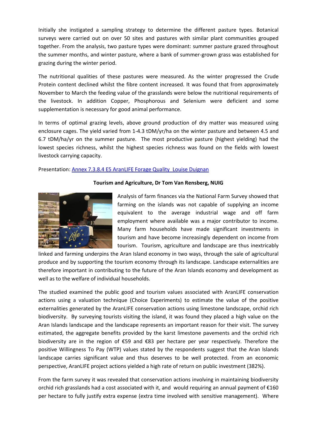Initially she instigated a sampling strategy to determine the different pasture types. Botanical surveys were carried out on over 50 sites and pastures with similar plant communities grouped together. From the analysis, two pasture types were dominant: summer pasture grazed throughout the summer months, and winter pasture, where a bank of summer-grown grass was established for grazing during the winter period.

The nutritional qualities of these pastures were measured. As the winter progressed the Crude Protein content declined whilst the fibre content increased. It was found that from approximately November to March the feeding value of the grasslands were below the nutritional requirements of the livestock. In addition Copper, Phosphorous and Selenium were deficient and some supplementation is necessary for good animal performance.

In terms of optimal grazing levels, above ground production of dry matter was measured using enclosure cages. The yield varied from 1-4.3 tDM/yr/ha on the winter pasture and between 4.5 and 6.7 tDM/ha/yr on the summer pasture. The most productive pasture (highest yielding) had the lowest species richness, whilst the highest species richness was found on the fields with lowest livestock carrying capacity.

# Presentation: Annex 7.3.8.4 E5 AranLIFE Forage Quality Louise Duignan



# **Tourism and Agriculture, Dr Tom Van Rensberg, NUIG**

Analysis of farm finances via the National Farm Survey showed that farming on the islands was not capable of supplying an income equivalent to the average industrial wage and off farm employment where available was a major contributor to income. Many farm households have made significant investments in tourism and have become increasingly dependent on income from tourism. Tourism, agriculture and landscape are thus inextricably

linked and farming underpins the Aran Island economy in two ways, through the sale of agricultural produce and by supporting the tourism economy through its landscape. Landscape externalities are therefore important in contributing to the future of the Aran Islands economy and development as well as to the welfare of individual households.

The studied examined the public good and tourism values associated with AranLIFE conservation actions using a valuation technique (Choice Experiments) to estimate the value of the positive externalities generated by the AranLIFE conservation actions using limestone landscape, orchid rich biodiversity. By surveying tourists visiting the island, it was found they placed a high value on the Aran Islands landscape and the landscape represents an important reason for their visit. The survey estimated, the aggregate benefits provided by the karst limestone pavements and the orchid rich biodiversity are in the region of €59 and €83 per hectare per year respectively. Therefore the positive Willingness To Pay (WTP) values stated by the respondents suggest that the Aran Islands landscape carries significant value and thus deserves to be well protected. From an economic perspective, AranLIFE project actions yielded a high rate of return on public investment (382%).

From the farm survey it was revealed that conservation actions involving in maintaining biodiversity orchid rich grasslands had a cost associated with it, and would requiring an annual payment of  $E160$ per hectare to fully justify extra expense (extra time involved with sensitive management). Where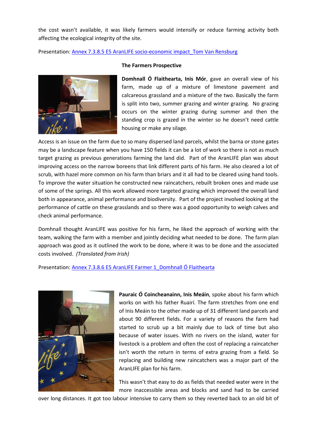the cost wasn't available, it was likely farmers would intensify or reduce farming activity both affecting the ecological integrity of the site.

Presentation[: Annex 7.3.8.5 E5 AranLIFE socio-economic impact\\_Tom Van Rensburg](7.3.8.5%20E5%20AranLIFE%20socio-economic%20impact_Tom%20Van%20Rensburg.pdf)



#### **The Farmers Prospective**

**Domhnall Ó Flaithearta, Inis Mór**, gave an overall view of his farm, made up of a mixture of limestone pavement and calcareous grassland and a mixture of the two. Basically the farm is split into two, summer grazing and winter grazing. No grazing occurs on the winter grazing during summer and then the standing crop is grazed in the winter so he doesn't need cattle housing or make any silage.

Access is an issue on the farm due to so many dispersed land parcels, whilst the barna or stone gates may be a landscape feature when you have 150 fields it can be a lot of work so there is not as much target grazing as previous generations farming the land did. Part of the AranLIFE plan was about improving access on the narrow boreens that link different parts of his farm. He also cleared a lot of scrub, with hazel more common on his farm than briars and it all had to be cleared using hand tools. To improve the water situation he constructed new raincatchers, rebuilt broken ones and made use of some of the springs. All this work allowed more targeted grazing which improved the overall land both in appearance, animal performance and biodiversity. Part of the project involved looking at the performance of cattle on these grasslands and so there was a good opportunity to weigh calves and check animal performance.

Domhnall thought AranLIFE was positive for his farm, he liked the approach of working with the team, walking the farm with a member and jointly deciding what needed to be done. The farm plan approach was good as it outlined the work to be done, where it was to be done and the associated costs involved. *(Translated from Irish)*

Presentation[: Annex 7.3.8.6 E5 AranLIFE Farmer 1\\_Domhnall Ó Flaithearta](7.3.8.6%20E5%20AranLIFE%20Farmer%201_Domhnall%20Ó%20Flaithearta.pdf)



**Pauraic Ó Coincheanainn, Inis Meáin**, spoke about his farm which works on with his father Ruairí. The farm stretches from one end of Inis Meáin to the other made up of 31 different land parcels and about 90 different fields. For a variety of reasons the farm had started to scrub up a bit mainly due to lack of time but also because of water issues. With no rivers on the island, water for livestock is a problem and often the cost of replacing a raincatcher isn't worth the return in terms of extra grazing from a field. So replacing and building new raincatchers was a major part of the AranLIFE plan for his farm.

This wasn't that easy to do as fields that needed water were in the more inaccessible areas and blocks and sand had to be carried

over long distances. It got too labour intensive to carry them so they reverted back to an old bit of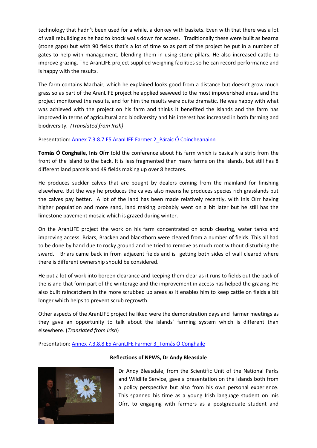technology that hadn't been used for a while, a donkey with baskets. Even with that there was a lot of wall rebuilding as he had to knock walls down for access. Traditionally these were built as bearna (stone gaps) but with 90 fields that's a lot of time so as part of the project he put in a number of gates to help with management, blending them in using stone pillars. He also increased cattle to improve grazing. The AranLIFE project supplied weighing facilities so he can record performance and is happy with the results.

The farm contains Machair, which he explained looks good from a distance but doesn't grow much grass so as part of the AranLIFE project he applied seaweed to the most impoverished areas and the project monitored the results, and for him the results were quite dramatic. He was happy with what was achieved with the project on his farm and thinks it benefited the islands and the farm has improved in terms of agricultural and biodiversity and his interest has increased in both farming and biodiversity. *(Translated from Irish)*

Presentation[: Annex 7.3.8.7 E5 AranLIFE Farmer 2\\_Páraic Ó Coincheanainn](7.3.8.7%20E5%20AranLIFE%20Farmer%202_Páraic%20Ó%20Coincheanainn.pdf)

**Tomás Ó Conghaile, Inis Oírr** told the conference about his farm which is basically a strip from the front of the island to the back. It is less fragmented than many farms on the islands, but still has 8 different land parcels and 49 fields making up over 8 hectares.

He produces suckler calves that are bought by dealers coming from the mainland for finishing elsewhere. But the way he produces the calves also means he produces species rich grasslands but the calves pay better. A lot of the land has been made relatively recently, with Inis Oírr having higher population and more sand, land making probably went on a bit later but he still has the limestone pavement mosaic which is grazed during winter.

On the AranLIFE project the work on his farm concentrated on scrub clearing, water tanks and improving access. Briars, Bracken and blackthorn were cleared from a number of fields. This all had to be done by hand due to rocky ground and he tried to remove as much root without disturbing the sward. Briars came back in from adjacent fields and is getting both sides of wall cleared where there is different ownership should be considered.

He put a lot of work into boreen clearance and keeping them clear as it runs to fields out the back of the island that form part of the winterage and the improvement in access has helped the grazing. He also built raincatchers in the more scrubbed up areas as it enables him to keep cattle on fields a bit longer which helps to prevent scrub regrowth.

Other aspects of the AranLIFE project he liked were the demonstration days and farmer meetings as they gave an opportunity to talk about the islands' farming system which is different than elsewhere. (*Translated from Irish*)

#### Presentation[: Annex 7.3.8.8 E5 AranLIFE Farmer 3\\_Tomás Ó Conghaile](7.3.8.8%20E5%20AranLIFE%20Farmer%203_Tomás%20Ó%20Conghaile.pdf)



#### **Reflections of NPWS, Dr Andy Bleasdale**

Dr Andy Bleasdale, from the Scientific Unit of the National Parks and Wildlife Service, gave a presentation on the islands both from a policy perspective but also from his own personal experience. This spanned his time as a young Irish language student on Inis Oírr, to engaging with farmers as a postgraduate student and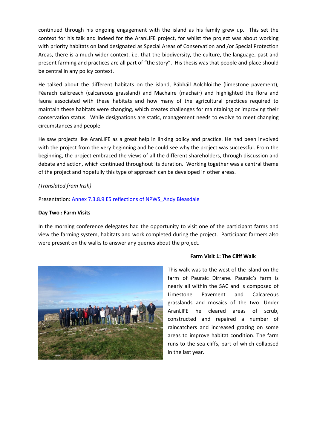continued through his ongoing engagement with the island as his family grew up. This set the context for his talk and indeed for the AranLIFE project, for whilst the project was about working with priority habitats on land designated as Special Areas of Conservation and /or Special Protection Areas, there is a much wider context, i.e. that the biodiversity, the culture, the language, past and present farming and practices are all part of "the story". His thesis was that people and place should be central in any policy context.

He talked about the different habitats on the island, Pábháil Aolchloiche (limestone pavement), Féarach cailcreach (calcareous grassland) and Machaire (machair) and highlighted the flora and fauna associated with these habitats and how many of the agricultural practices required to maintain these habitats were changing, which creates challenges for maintaining or improving their conservation status. While designations are static, management needs to evolve to meet changing circumstances and people.

He saw projects like AranLIFE as a great help in linking policy and practice. He had been involved with the project from the very beginning and he could see why the project was successful. From the beginning, the project embraced the views of all the different shareholders, through discussion and debate and action, which continued throughout its duration. Working together was a central theme of the project and hopefully this type of approach can be developed in other areas.

# *(Translated from Irish)*

Presentation[: Annex 7.3.8.9 E5 reflections of NPWS\\_Andy Bleasdale](7.3.8.9%20E5%20AranLIFE%20reflections%20of%20NPWS_Andy%20Bleasdale.pdf)

# **Day Two : Farm Visits**

In the morning conference delegates had the opportunity to visit one of the participant farms and view the farming system, habitats and work completed during the project. Participant farmers also were present on the walks to answer any queries about the project.



#### **Farm Visit 1: The Cliff Walk**

This walk was to the west of the island on the farm of Pauraic Dirrane. Pauraic's farm is nearly all within the SAC and is composed of Limestone Pavement and Calcareous grasslands and mosaics of the two. Under AranLIFE he cleared areas of scrub, constructed and repaired a number of raincatchers and increased grazing on some areas to improve habitat condition. The farm runs to the sea cliffs, part of which collapsed in the last year.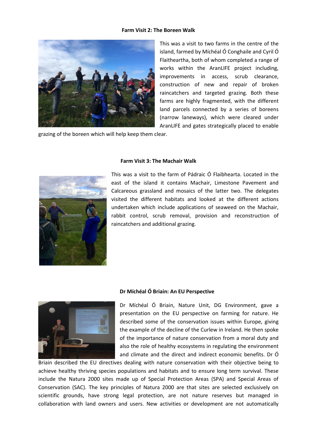#### **Farm Visit 2: The Boreen Walk**



This was a visit to two farms in the centre of the island, farmed by Míchéal Ó Conghaile and Cyril Ó Flaitheartha, both of whom completed a range of works within the AranLIFE project including, improvements in access, scrub clearance, construction of new and repair of broken raincatchers and targeted grazing. Both these farms are highly fragmented, with the different land parcels connected by a series of boreens (narrow laneways), which were cleared under AranLIFE and gates strategically placed to enable

grazing of the boreen which will help keep them clear.



#### **Farm Visit 3: The Machair Walk**

This was a visit to the farm of Pádraic Ó Flaibhearta. Located in the east of the island it contains Machair, Limestone Pavement and Calcareous grassland and mosaics of the latter two. The delegates visited the different habitats and looked at the different actions undertaken which include applications of seaweed on the Machair, rabbit control, scrub removal, provision and reconstruction of raincatchers and additional grazing.



#### **Dr Míchéal Ó Briain: An EU Perspective**

Dr Míchéal Ó Briain, Nature Unit, DG Environment, gave a presentation on the EU perspective on farming for nature. He described some of the conservation issues within Europe, giving the example of the decline of the Curlew in Ireland. He then spoke of the importance of nature conservation from a moral duty and also the role of healthy ecosystems in regulating the environment and climate and the direct and indirect economic benefits. Dr Ó

Briain described the EU directives dealing with nature conservation with their objective being to achieve healthy thriving species populations and habitats and to ensure long term survival. These include the Natura 2000 sites made up of Special Protection Areas (SPA) and Special Areas of Conservation (SAC). The key principles of Natura 2000 are that sites are selected exclusively on scientific grounds, have strong legal protection, are not nature reserves but managed in collaboration with land owners and users. New activities or development are not automatically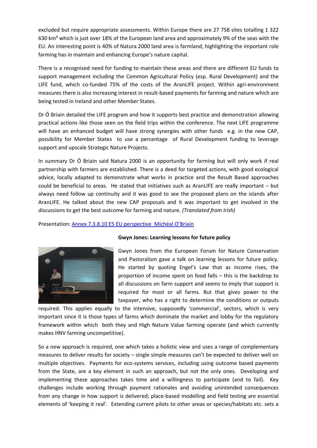excluded but require appropriate assessments. Within Europe there are 27 758 sites totalling 1 322 630 km² which is just over 18% of the European land area and approximately 9% of the seas with the EU. An interesting point is 40% of Natura 2000 land area is farmland, highlighting the important role farming has in maintain and enhancing Europe's nature capital.

There is a recognised need for funding to maintain these areas and there are different EU funds to support management including the Common Agricultural Policy (esp. Rural Development) and the LIFE fund, which co-funded 75% of the costs of the AranLIFE project. Within agri-environment measures there is also increasing interest in result-based payments for farming and nature which are being tested in Ireland and other Member States.

Dr Ó Briain detailed the LIFE program and how it supports best practice and demonstration allowing practical actions like those seen on the field trips within the conference. The next LIFE programme will have an enhanced budget will have strong synergies with other funds e.g. in the new CAP, possibility for Member States to use a percentage of Rural Development funding to leverage support and upscale Strategic Nature Projects.

In summary Dr Ó Briain said Natura 2000 is an opportunity for farming but will only work if real partnership with farmers are established. There is a deed for targeted actions, with good ecological advice, locally adapted to demonstrate what works in practice and the Result Based approaches could be beneficial to areas. He stated that initiatives such as AranLIFE are really important – but always need follow up continuity and it was good to see the proposed plans on the islands after AranLIFE. He talked about the new CAP proposals and it was important to get involved in the discussions to get the best outcome for farming and nature. *(Translated from Irish)*

Presentation: [Annex 7.3.8.10 E5 EU perspective\\_Míchéal O'Briain](7.3.8.10%20E5%20AranLIFE%20EU%20perspective_Míchéal%20O)



# **Gwyn Jones: Learning lessons for future policy**

Gwyn Jones from the European Forum for Nature Conservation and Pastoralism gave a talk on learning lessons for future policy. He started by quoting Engel's Law that as income rises, the proportion of income spent on food falls – this is the backdrop to all discussions on farm support and seems to imply that support is required for most or all farms. But that gives power to the taxpayer, who has a right to determine the conditions or outputs

required. This applies equally to the intensive, supposedly 'commercial', sectors, which is very important since it is those types of farms which dominate the market and lobby for the regulatory framework within which both they and High Nature Value farming operate (and which currently makes HNV farming uncompetitive).

So a new approach is required, one which takes a holistic view and uses a range of complementary measures to deliver results for society – single simple measures can't be expected to deliver well on multiple objectives. Payments for eco-systems services, including using outcome based payments from the State, are a key element in such an approach, but not the only ones. Developing and implementing these approaches takes time and a willingness to participate (and to fail). Key challenges include working through payment rationales and avoiding unintended consequences from any change in how support is delivered; place-based modelling and field testing are essential elements of 'keeping it real'. Extending current pilots to other areas or species/habitats etc. sets a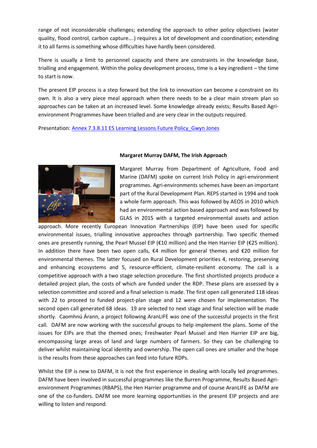range of not inconsiderable challenges; extending the approach to other policy objectives (water quality, flood control, carbon capture….) requires a lot of development and coordination; extending it to all farms is something whose difficulties have hardly been considered.

There is usually a limit to personnel capacity and there are constraints in the knowledge base, trialling and engagement. Within the policy development process, time is a key ingredient – the time to start is now.

The present EIP process is a step forward but the link to innovation can become a constraint on its own. It is also a very piece meal approach when there needs to be a clear main stream plan so approaches can be taken at an increased level. Some knowledge already exists; Results Based Agrienvironment Programmes have been trialled and are very clear in the outputs required.

Presentation[: Annex 7.3.8.11 E5 Learning Lessons Future Policy\\_Gwyn Jones](7.3.8.11%20E5%20AranLIFE%20Learning%20Lesson%20Future%20Policy_Gwyn%20Jones.pdf)



# **Margaret Murray DAFM, The Irish Approach**

Margaret Murray from Department of Agriculture, Food and Marine (DAFM) spoke on current Irish Policy in agri-environment programmes. Agri-environments schemes have been an important part of the Rural Development Plan. REPS started in 1994 and took a whole farm approach. This was followed by AEOS in 2010 which had an environmental action based approach and was followed by GLAS in 2015 with a targeted environmental assets and action

approach. More recently European Innovation Partnerships (EIP) have been used for specific environmental issues, trialling innovative approaches through partnership. Two specific themed ones are presently running, the Pearl Mussel EIP (€10 million) and the Hen Harrier EIP (€25 million). In addition there have been two open calls, €4 million for general themes and €20 million for environmental themes. The latter focused on Rural Development priorities 4, restoring, preserving and enhancing ecosystems and 5, resource-efficient, climate-resilient economy. The call is a competitive approach with a two stage selection procedure. The first shortlisted projects produce a detailed project plan, the costs of which are funded under the RDP. These plans are assessed by a selection committee and scored and a final selection is made. The first open call generated 118 ideas with 22 to proceed to funded project-plan stage and 12 were chosen for implementation. The second open call generated 68 ideas. 19 are selected to next stage and final selection will be made shortly. Caomhnú Árann, a project following AranLIFE was one of the successful projects in the first call. DAFM are now working with the successful groups to help implement the plans. Some of the issues for EIPs are that the themed ones; Freshwater Pearl Mussel and Hen Harrier EIP are big, encompassing large areas of land and large numbers of farmers. So they can be challenging to deliver whilst maintaining local identity and ownership. The open call ones are smaller and the hope is the results from these approaches can feed into future RDPs.

Whilst the EIP is new to DAFM, it is not the first experience in dealing with locally led programmes. DAFM have been involved in successful programmes like the Burren Programme, Results Based Agrienvironment Programmes (RBAPS), the Hen Harrier programme and of course AranLIFE as DAFM are one of the co-funders. DAFM see more learning opportunities in the present EIP projects and are willing to listen and respond.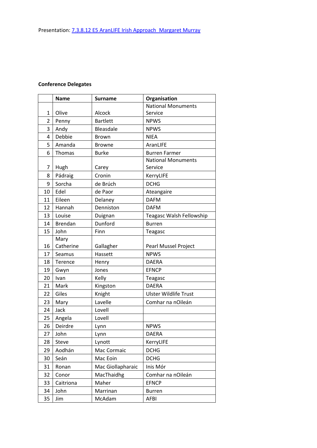# **Conference Delegates**

|                | <b>Name</b>    | <b>Surname</b>    | Organisation                    |
|----------------|----------------|-------------------|---------------------------------|
|                |                |                   | <b>National Monuments</b>       |
| 1              | Olive          | Alcock            | Service                         |
| $\overline{2}$ | Penny          | <b>Bartlett</b>   | <b>NPWS</b>                     |
| 3              | Andy           | Bleasdale         | <b>NPWS</b>                     |
| 4              | Debbie         | <b>Brown</b>      | <b>NIEA</b>                     |
| 5              | Amanda         | <b>Browne</b>     | AranLIFE                        |
| 6              | Thomas         | <b>Burke</b>      | <b>Burren Farmer</b>            |
|                |                |                   | <b>National Monuments</b>       |
| 7              | Hugh           | Carey             | Service                         |
| 8              | Pádraig        | Cronin            | KerryLIFE                       |
| 9              | Sorcha         | de Brúch          | <b>DCHG</b>                     |
| 10             | Edel           | de Paor           | Ateangaire                      |
| 11             | Eileen         | Delaney           | <b>DAFM</b>                     |
| 12             | Hannah         | Denniston         | <b>DAFM</b>                     |
| 13             | Louise         | Duignan           | <b>Teagasc Walsh Fellowship</b> |
| 14             | <b>Brendan</b> | Dunford           | <b>Burren</b>                   |
| 15             | John           | Finn              | Teagasc                         |
|                | Mary           |                   |                                 |
| 16             | Catherine      | Gallagher         | <b>Pearl Mussel Project</b>     |
| 17             | Seamus         | Hassett           | <b>NPWS</b>                     |
| 18             | Terence        | Henry             | <b>DAERA</b>                    |
| 19             | Gwyn           | Jones             | <b>EFNCP</b>                    |
| 20             | Ivan           | Kelly             | Teagasc                         |
| 21             | Mark           | Kingston          | <b>DAERA</b>                    |
| 22             | Giles          | Knight            | <b>Ulster Wildlife Trust</b>    |
| 23             | Mary           | Lavelle           | Comhar na nOileán               |
| 24             | Jack           | Lovell            |                                 |
| 25             | Angela         | Lovell            |                                 |
| 26             | Deirdre        | Lynn              | <b>NPWS</b>                     |
| 27             | John           | Lynn              | <b>DAERA</b>                    |
| 28             | Steve          | Lynott            | KerryLIFE                       |
| 29             | Aodhán         | Mac Cormaic       | <b>DCHG</b>                     |
| 30             | Seán           | Mac Eoin          | <b>DCHG</b>                     |
| 31             | Ronan          | Mac Giollapharaic | Inis Mór                        |
| 32             | Conor          | MacThaidhg        | Comhar na nOileán               |
| 33             | Caitriona      | Maher             | <b>EFNCP</b>                    |
| 34             | John           | Marrinan          | <b>Burren</b>                   |
| 35             | Jim            | McAdam            | AFBI                            |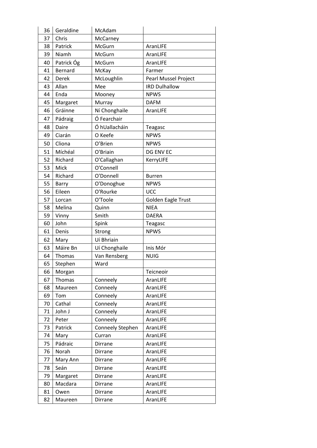| 36 | Geraldine  | McAdam           |                      |
|----|------------|------------------|----------------------|
| 37 | Chris      | McCarney         |                      |
| 38 | Patrick    | McGurn           | AranLIFE             |
| 39 | Niamh      | McGurn           | AranLIFE             |
| 40 | Patrick Óg | McGurn           | AranLIFE             |
| 41 | Bernard    | McKay            | Farmer               |
| 42 | Derek      | McLoughlin       | Pearl Mussel Project |
| 43 | Allan      | Mee              | <b>IRD Dulhallow</b> |
| 44 | Enda       | Mooney           | <b>NPWS</b>          |
| 45 | Margaret   | Murray           | <b>DAFM</b>          |
| 46 | Gráinne    | Ní Chonghaile    | AranLIFE             |
| 47 | Pádraig    | Ó Fearchair      |                      |
| 48 | Daire      | Ó hUallacháin    | Teagasc              |
| 49 | Ciarán     | O Keefe          | <b>NPWS</b>          |
| 50 | Cliona     | O'Brien          | <b>NPWS</b>          |
| 51 | Míchéal    | O'Briain         | DG ENV EC            |
| 52 | Richard    | O'Callaghan      | KerryLIFE            |
| 53 | Mick       | O'Connell        |                      |
| 54 | Richard    | O'Donnell        | <b>Burren</b>        |
| 55 | Barry      | O'Donoghue       | <b>NPWS</b>          |
| 56 | Eileen     | O'Rourke         | <b>UCC</b>           |
| 57 | Lorcan     | O'Toole          | Golden Eagle Trust   |
| 58 | Melina     | Quinn            | <b>NIEA</b>          |
| 59 | Vinny      | Smith            | <b>DAERA</b>         |
| 60 | John       | Spink            | Teagasc              |
| 61 | Denis      | Strong           | <b>NPWS</b>          |
| 62 | Mary       | Uí Bhriain       |                      |
| 63 | Máire Bn   | Uí Chonghaile    | Inis Mór             |
| 64 | Thomas     | Van Rensberg     | <b>NUIG</b>          |
| 65 | Stephen    | Ward             |                      |
| 66 | Morgan     |                  | Teicneoir            |
| 67 | Thomas     | Conneely         | AranLIFE             |
| 68 | Maureen    | Conneely         | AranLIFE             |
| 69 | Tom        | Conneely         | AranLIFE             |
| 70 | Cathal     | Conneely         | AranLIFE             |
| 71 | John J     | Conneely         | AranLIFE             |
| 72 | Peter      | Conneely         | AranLIFE             |
| 73 | Patrick    | Conneely Stephen | AranLIFE             |
| 74 | Mary       | Curran           | AranLIFE             |
| 75 | Pádraic    | <b>Dirrane</b>   | AranLIFE             |
| 76 | Norah      | Dirrane          | AranLIFE             |
| 77 | Mary Ann   | <b>Dirrane</b>   | AranLIFE             |
| 78 | Seán       | Dirrane          | AranLIFE             |
| 79 | Margaret   | Dirrane          | AranLIFE             |
| 80 | Macdara    | Dirrane          | AranLIFE             |
| 81 | Owen       | Dirrane          | AranLIFE             |
| 82 | Maureen    | Dirrane          | AranLIFE             |